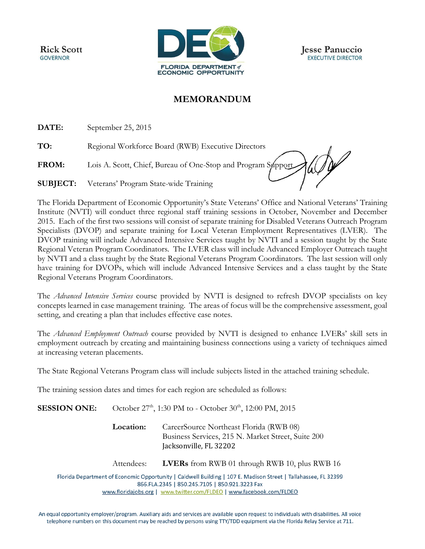**Rick Scott GOVERNOR** 



**Jesse Panuccio EXECUTIVE DIRECTOR** 

## **MEMORANDUM**

**DATE:** September 25, 2015

**TO:** Regional Workforce Board (RWB) Executive Directors

**FROM:** Lois A. Scott, Chief, Bureau of One-Stop and Program Support

**SUBJECT:** Veterans' Program State-wide Training

The Florida Department of Economic Opportunity's State Veterans' Office and National Veterans' Training Institute (NVTI) will conduct three regional staff training sessions in October, November and December 2015. Each of the first two sessions will consist of separate training for Disabled Veterans Outreach Program Specialists (DVOP) and separate training for Local Veteran Employment Representatives (LVER). The DVOP training will include Advanced Intensive Services taught by NVTI and a session taught by the State Regional Veteran Program Coordinators. The LVER class will include Advanced Employer Outreach taught by NVTI and a class taught by the State Regional Veterans Program Coordinators. The last session will only have training for DVOPs, which will include Advanced Intensive Services and a class taught by the State Regional Veterans Program Coordinators.

The *Advanced Intensive Services* course provided by NVTI is designed to refresh DVOP specialists on key concepts learned in case management training. The areas of focus will be the comprehensive assessment, goal setting, and creating a plan that includes effective case notes.

The *Advanced Employment Outreach* course provided by NVTI is designed to enhance LVERs' skill sets in employment outreach by creating and maintaining business connections using a variety of techniques aimed at increasing veteran placements.

The State Regional Veterans Program class will include subjects listed in the attached training schedule.

The training session dates and times for each region are scheduled as follows:

**SESSION ONE:** October 27<sup>th</sup>, 1:30 PM to - October 30<sup>th</sup>, 12:00 PM, 2015 **Location:** CareerSource Northeast Florida (RWB 08) Business Services, 215 N. Market Street, Suite 200 Jacksonville, FL 32202 Attendees: **LVERs** from RWB 01 through RWB 10, plus RWB 16

Florida Department of Economic Opportunity | Caldwell Building | 107 E. Madison Street | Tallahassee, FL 32399 866.FLA.2345 | 850.245.7105 | 850.921.3223 Fax www.floridajobs.org | www.twitter.com/FLDEO | www.facebook.com/FLDEO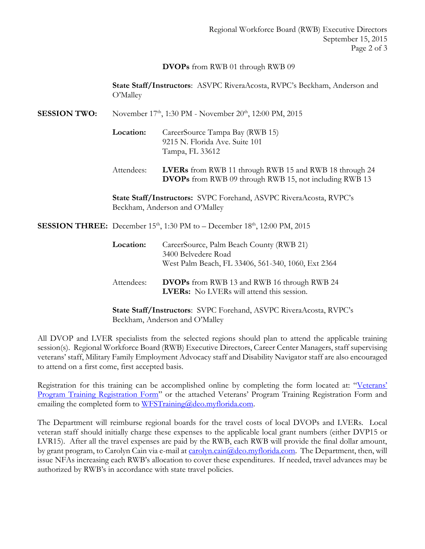**DVOPs** from RWB 01 through RWB 09

**State Staff/Instructors**: ASVPC RiveraAcosta, RVPC's Beckham, Anderson and O'Malley

**SESSION TWO:** November 17<sup>th</sup>, 1:30 PM - November 20<sup>th</sup>, 12:00 PM, 2015

- **Location:** CareerSource Tampa Bay (RWB 15) 9215 N. Florida Ave. Suite 101 Tampa, FL 33612
- Attendees: **LVERs** from RWB 11 through RWB 15 and RWB 18 through 24 **DVOPs** from RWB 09 through RWB 15, not including RWB 13

**State Staff/Instructors:** SVPC Forehand, ASVPC RiveraAcosta, RVPC's Beckham, Anderson and O'Malley

**SESSION THREE:** December  $15<sup>th</sup>$ ,  $1:30$  PM to – December  $18<sup>th</sup>$ ,  $12:00$  PM,  $2015$ 

| Location:  | CareerSource, Palm Beach County (RWB 21)<br>3400 Belvedere Road<br>West Palm Beach, FL 33406, 561-340, 1060, Ext 2364 |
|------------|-----------------------------------------------------------------------------------------------------------------------|
| Attendees: | <b>DVOPs</b> from RWB 13 and RWB 16 through RWB 24<br><b>LVERs:</b> No LVERs will attend this session.                |

**State Staff/Instructors**: SVPC Forehand, ASVPC RiveraAcosta, RVPC's Beckham, Anderson and O'Malley

All DVOP and LVER specialists from the selected regions should plan to attend the applicable training session(s). Regional Workforce Board (RWB) Executive Directors, Career Center Managers, staff supervising veterans' staff, Military Family Employment Advocacy staff and Disability Navigator staff are also encouraged to attend on a first come, first accepted basis.

Registration for this training can be accomplished online by completing the form located at: ["Veterans'](http://sitefinity.floridajobs.org/docs/default-source/office-of-workforce-services/vets-registration-form.pdf?sfvrsn=2)  [Program Training Registration Form](http://sitefinity.floridajobs.org/docs/default-source/office-of-workforce-services/vets-registration-form.pdf?sfvrsn=2)" or the attached Veterans' Program Training Registration Form and emailing the completed form to [WFSTraining@deo.myflorida.com.](mailto:WFSTraining@deo.myflorida.com)

The Department will reimburse regional boards for the travel costs of local DVOPs and LVERs. Local veteran staff should initially charge these expenses to the applicable local grant numbers (either DVP15 or LVR15). After all the travel expenses are paid by the RWB, each RWB will provide the final dollar amount, by grant program, to Carolyn Cain via e-mail a[t carolyn.cain@deo.myflorida.com.](mailto:carolyn.cain@deo.myflorida.com) The Department, then, will issue NFAs increasing each RWB's allocation to cover these expenditures. If needed, travel advances may be authorized by RWB's in accordance with state travel policies.